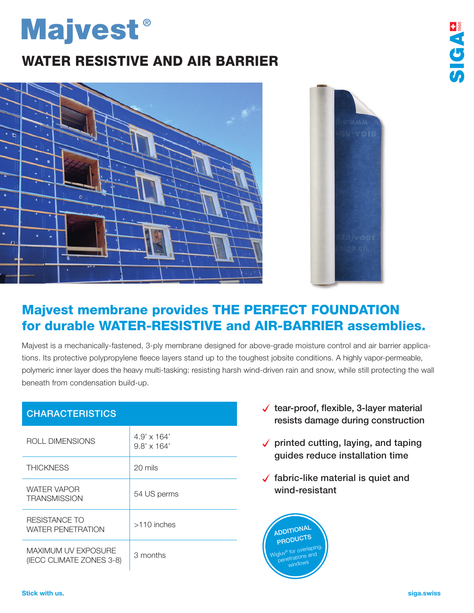## **Majvest**®

## WATER RESISTIVE AND AIR BARRIER





**SIGAS** 

## Majvest membrane provides THE PERFECT FOUNDATION for durable WATER-RESISTIVE and AIR-BARRIER assemblies.

Majvest is a mechanically-fastened, 3-ply membrane designed for above-grade moisture control and air barrier applications. Its protective polypropylene fleece layers stand up to the toughest jobsite conditions. A highly vapor-permeable, polymeric inner layer does the heavy multi-tasking: resisting harsh wind-driven rain and snow, while still protecting the wall beneath from condensation build-up.

| <b>CHARACTERISTICS</b>                                 |                                          |
|--------------------------------------------------------|------------------------------------------|
| ROLL DIMENSIONS                                        | $4.9' \times 164'$<br>$9.8' \times 164'$ |
| <b>THICKNESS</b>                                       | 20 mils                                  |
| <b>WATER VAPOR</b><br><b>TRANSMISSION</b>              | 54 US perms                              |
| RESISTANCE TO<br>WATER PENETRATION                     | $>110$ inches                            |
| <b>MAXIMUM UV EXPOSURE</b><br>(IECC CLIMATE ZONES 3-8) | 3 months                                 |

- $\sqrt{\ }$  tear-proof, flexible, 3-layer material resists damage during construction
- $\checkmark$  printed cutting, laying, and taping guides reduce installation time
- $\sqrt{}$  fabric-like material is quiet and wind-resistant